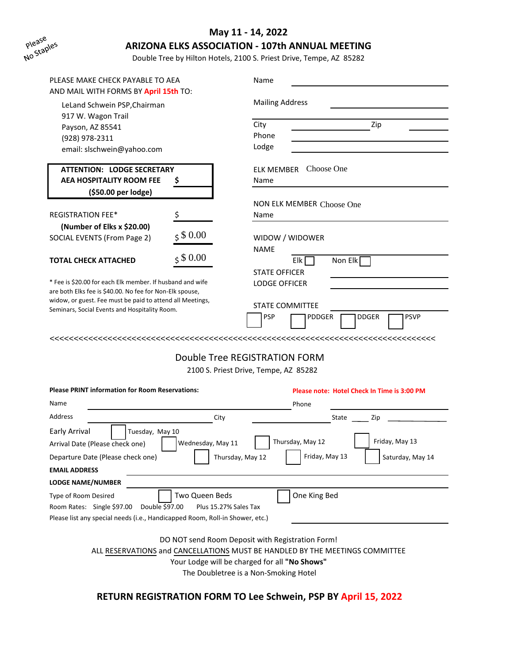

## **May 11 - 14, 2022**

### **ARIZONA ELKS ASSOCIATION - 107th ANNUAL MEETING**

Double Tree by Hilton Hotels, 2100 S. Priest Drive, Tempe, AZ 85282

| PLEASE MAKE CHECK PAYABLE TO AEA                                                                           |                   | Name                                        |  |  |  |  |
|------------------------------------------------------------------------------------------------------------|-------------------|---------------------------------------------|--|--|--|--|
| AND MAIL WITH FORMS BY April 15th TO:<br>LeLand Schwein PSP, Chairman<br>917 W. Wagon Trail                |                   | <b>Mailing Address</b>                      |  |  |  |  |
| Payson, AZ 85541                                                                                           |                   | City<br>Zip                                 |  |  |  |  |
| (928) 978-2311                                                                                             |                   | Phone                                       |  |  |  |  |
| email: slschwein@yahoo.com                                                                                 |                   | Lodge                                       |  |  |  |  |
| <b>ATTENTION: LODGE SECRETARY</b>                                                                          |                   | <b>ELK MEMBER</b> Choose One                |  |  |  |  |
| <b>AEA HOSPITALITY ROOM FEE</b><br>Ş                                                                       |                   | Name                                        |  |  |  |  |
| (\$50.00 per lodge)                                                                                        |                   |                                             |  |  |  |  |
|                                                                                                            |                   | NON ELK MEMBER Choose One                   |  |  |  |  |
| <b>REGISTRATION FEE*</b>                                                                                   | \$                | Name                                        |  |  |  |  |
| (Number of Elks x \$20.00)                                                                                 | 580.00            |                                             |  |  |  |  |
| SOCIAL EVENTS (From Page 2)                                                                                |                   | WIDOW / WIDOWER<br><b>NAME</b>              |  |  |  |  |
| TOTAL CHECK ATTACHED                                                                                       | 580.00            | Non Elk<br>Elk                              |  |  |  |  |
|                                                                                                            |                   | <b>STATE OFFICER</b>                        |  |  |  |  |
| * Fee is \$20.00 for each Elk member. If husband and wife                                                  |                   | <b>LODGE OFFICER</b>                        |  |  |  |  |
| are both Elks fee is \$40.00. No fee for Non-Elk spouse,                                                   |                   |                                             |  |  |  |  |
| widow, or guest. Fee must be paid to attend all Meetings,<br>Seminars, Social Events and Hospitality Room. |                   | <b>STATE COMMITTEE</b>                      |  |  |  |  |
|                                                                                                            |                   | PSP<br>DDGER<br>PSVP<br>PDDGER              |  |  |  |  |
|                                                                                                            |                   |                                             |  |  |  |  |
| Double Tree REGISTRATION FORM                                                                              |                   |                                             |  |  |  |  |
|                                                                                                            |                   | 2100 S. Priest Drive, Tempe, AZ 85282       |  |  |  |  |
| <b>Please PRINT information for Room Reservations:</b>                                                     |                   | Please note: Hotel Check In Time is 3:00 PM |  |  |  |  |
| Name                                                                                                       |                   | Phone                                       |  |  |  |  |
| Address                                                                                                    | City              | State<br>Zip                                |  |  |  |  |
| Early Arrival<br>Tuesday, May 10                                                                           |                   |                                             |  |  |  |  |
| Arrival Date (Please check one)                                                                            | Wednesday, May 11 | Thursday, May 12<br>Friday, May 13          |  |  |  |  |
| Friday, May 13<br>Departure Date (Please check one)<br>Thursday, May 12<br>Saturday, May 14                |                   |                                             |  |  |  |  |
| <b>EMAIL ADDRESS</b>                                                                                       |                   |                                             |  |  |  |  |
| <b>LODGE NAME/NUMBER</b>                                                                                   |                   |                                             |  |  |  |  |
| One King Bed<br>Two Queen Beds<br>Type of Room Desired                                                     |                   |                                             |  |  |  |  |
| Room Rates: Single \$97.00<br>Double \$97.00<br>Plus 15.27% Sales Tax                                      |                   |                                             |  |  |  |  |

Please list any special needs (i.e., Handicapped Room, Roll-in Shower, etc.)

DO NOT send Room Deposit with Registration Form!

ALL RESERVATIONS and CANCELLATIONS MUST BE HANDLED BY THE MEETINGS COMMITTEE

Your Lodge will be charged for all **"No Shows"**

The Doubletree is a Non-Smoking Hotel

**RETURN REGISTRATION FORM TO Lee Schwein, PSP BY April 15, 2022**